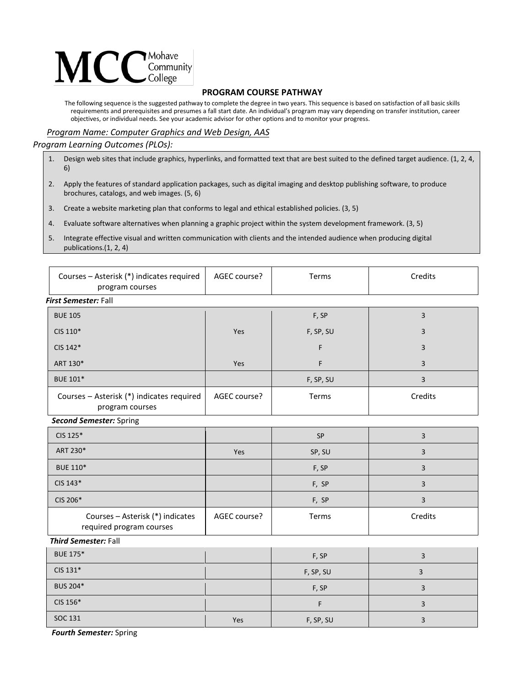

## **PROGRAM COURSE PATHWAY**

The following sequence is the suggested pathway to complete the degree in two years. This sequence is based on satisfaction of all basic skills requirements and prerequisites and presumes a fall start date. An individual's program may vary depending on transfer institution, career objectives, or individual needs. See your academic advisor for other options and to monitor your progress.

## *Program Name: Computer Graphics and Web Design, AAS*

## *Program Learning Outcomes (PLOs):*

- 1. Design web sites that include graphics, hyperlinks, and formatted text that are best suited to the defined target audience. (1, 2, 4, 6)
- 2. Apply the features of standard application packages, such as digital imaging and desktop publishing software, to produce brochures, catalogs, and web images. (5, 6)
- 3. Create a website marketing plan that conforms to legal and ethical established policies. (3, 5)
- 4. Evaluate software alternatives when planning a graphic project within the system development framework. (3, 5)
- 5. Integrate effective visual and written communication with clients and the intended audience when producing digital publications.(1, 2, 4)

| Courses - Asterisk (*) indicates required<br>program courses | AGEC course? | Terms     | Credits        |  |  |
|--------------------------------------------------------------|--------------|-----------|----------------|--|--|
| First Semester: Fall                                         |              |           |                |  |  |
| <b>BUE 105</b>                                               |              | F, SP     | $\mathsf 3$    |  |  |
| CIS 110*                                                     | Yes          | F, SP, SU | 3              |  |  |
| CIS 142*                                                     |              | F         | 3              |  |  |
| ART 130*                                                     | Yes          | F         | 3              |  |  |
| <b>BUE 101*</b>                                              |              | F, SP, SU | 3              |  |  |
| Courses - Asterisk (*) indicates required<br>program courses | AGEC course? | Terms     | Credits        |  |  |
| <b>Second Semester: Spring</b>                               |              |           |                |  |  |
| CIS 125*                                                     |              | SP        | 3              |  |  |
| ART 230*                                                     | Yes          | SP, SU    | 3              |  |  |
| <b>BUE 110*</b>                                              |              | F, SP     | 3              |  |  |
| CIS 143*                                                     |              | F, SP     | 3              |  |  |
| CIS 206*                                                     |              | F, SP     | 3              |  |  |
| Courses - Asterisk (*) indicates<br>required program courses | AGEC course? | Terms     | Credits        |  |  |
| <b>Third Semester: Fall</b>                                  |              |           |                |  |  |
| <b>BUE 175*</b>                                              |              | F, SP     | 3              |  |  |
| CIS 131*                                                     |              | F, SP, SU | $\overline{3}$ |  |  |
| BUS 204*                                                     |              | F, SP     | 3              |  |  |
| CIS 156*                                                     |              | F         | 3              |  |  |
| SOC 131                                                      | Yes          | F, SP, SU | 3              |  |  |

*Fourth Semester:* Spring